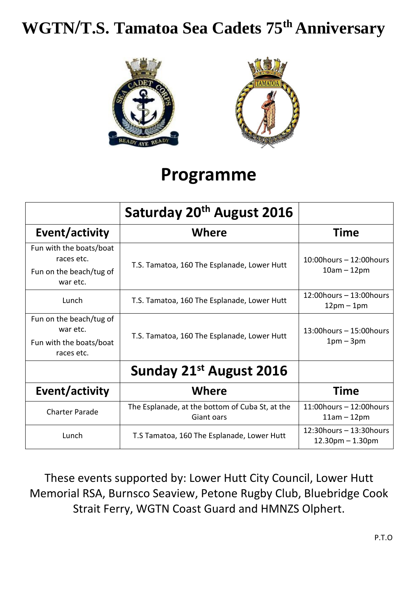## **WGTN/T.S. Tamatoa Sea Cadets 75th Anniversary**





### **Programme**

|                                                                              | Saturday 20 <sup>th</sup> August 2016                         |                                                     |
|------------------------------------------------------------------------------|---------------------------------------------------------------|-----------------------------------------------------|
| Event/activity                                                               | Where                                                         | Time                                                |
| Fun with the boats/boat<br>races etc.<br>Fun on the beach/tug of<br>war etc. | T.S. Tamatoa, 160 The Esplanade, Lower Hutt                   | $10:00$ hours - $12:00$ hours<br>$10am - 12pm$      |
| Lunch                                                                        | T.S. Tamatoa, 160 The Esplanade, Lower Hutt                   | $12:00$ hours – $13:00$ hours<br>$12pm - 1pm$       |
| Fun on the beach/tug of<br>war etc.<br>Fun with the boats/boat<br>races etc. | T.S. Tamatoa, 160 The Esplanade, Lower Hutt                   | 13:00 hours - 15:00 hours<br>$1pm-3pm$              |
|                                                                              | Sunday 21st August 2016                                       |                                                     |
| Event/activity                                                               | <b>Where</b>                                                  | Time                                                |
| <b>Charter Parade</b>                                                        | The Esplanade, at the bottom of Cuba St, at the<br>Giant oars | $11:00$ hours - $12:00$ hours<br>$11am - 12pm$      |
| Lunch                                                                        | T.S Tamatoa, 160 The Esplanade, Lower Hutt                    | $12:30$ hours – $13:30$ hours<br>$12.30pm - 1.30pm$ |

These events supported by: Lower Hutt City Council, Lower Hutt Memorial RSA, Burnsco Seaview, Petone Rugby Club, Bluebridge Cook Strait Ferry, WGTN Coast Guard and HMNZS Olphert.